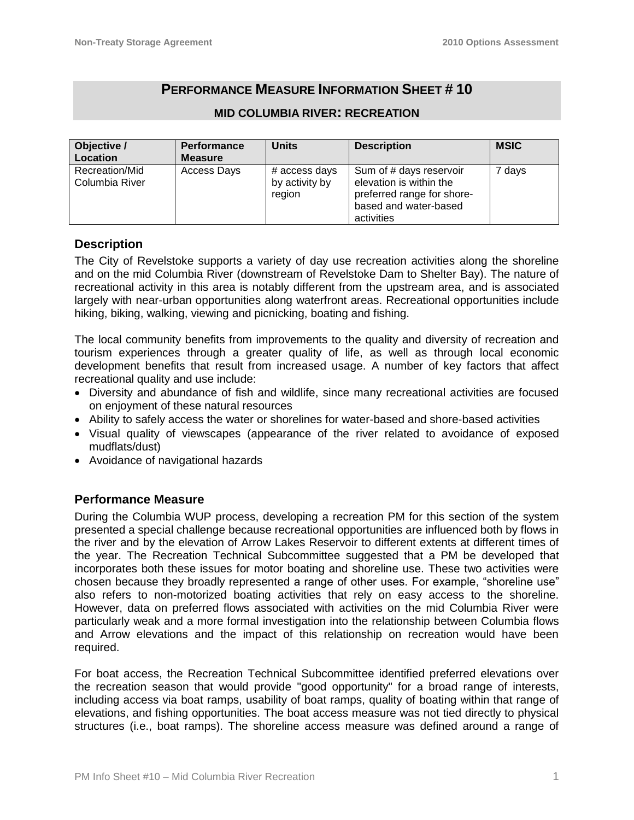# **PERFORMANCE MEASURE INFORMATION SHEET # 10**

| Objective /                      | <b>Performance</b> | <b>Units</b>                              | <b>Description</b>                                                                                                      | <b>MSIC</b> |
|----------------------------------|--------------------|-------------------------------------------|-------------------------------------------------------------------------------------------------------------------------|-------------|
| Location                         | <b>Measure</b>     |                                           |                                                                                                                         |             |
| Recreation/Mid<br>Columbia River | Access Days        | # access days<br>by activity by<br>region | Sum of # days reservoir<br>elevation is within the<br>preferred range for shore-<br>based and water-based<br>activities | 7 days      |

#### **MID COLUMBIA RIVER: RECREATION**

## **Description**

The City of Revelstoke supports a variety of day use recreation activities along the shoreline and on the mid Columbia River (downstream of Revelstoke Dam to Shelter Bay). The nature of recreational activity in this area is notably different from the upstream area, and is associated largely with near-urban opportunities along waterfront areas. Recreational opportunities include hiking, biking, walking, viewing and picnicking, boating and fishing.

The local community benefits from improvements to the quality and diversity of recreation and tourism experiences through a greater quality of life, as well as through local economic development benefits that result from increased usage. A number of key factors that affect recreational quality and use include:

- Diversity and abundance of fish and wildlife, since many recreational activities are focused on enjoyment of these natural resources
- Ability to safely access the water or shorelines for water-based and shore-based activities
- Visual quality of viewscapes (appearance of the river related to avoidance of exposed mudflats/dust)
- Avoidance of navigational hazards

# **Performance Measure**

During the Columbia WUP process, developing a recreation PM for this section of the system presented a special challenge because recreational opportunities are influenced both by flows in the river and by the elevation of Arrow Lakes Reservoir to different extents at different times of the year. The Recreation Technical Subcommittee suggested that a PM be developed that incorporates both these issues for motor boating and shoreline use. These two activities were chosen because they broadly represented a range of other uses. For example, "shoreline use" also refers to non-motorized boating activities that rely on easy access to the shoreline. However, data on preferred flows associated with activities on the mid Columbia River were particularly weak and a more formal investigation into the relationship between Columbia flows and Arrow elevations and the impact of this relationship on recreation would have been required.

For boat access, the Recreation Technical Subcommittee identified preferred elevations over the recreation season that would provide "good opportunity" for a broad range of interests, including access via boat ramps, usability of boat ramps, quality of boating within that range of elevations, and fishing opportunities. The boat access measure was not tied directly to physical structures (i.e., boat ramps). The shoreline access measure was defined around a range of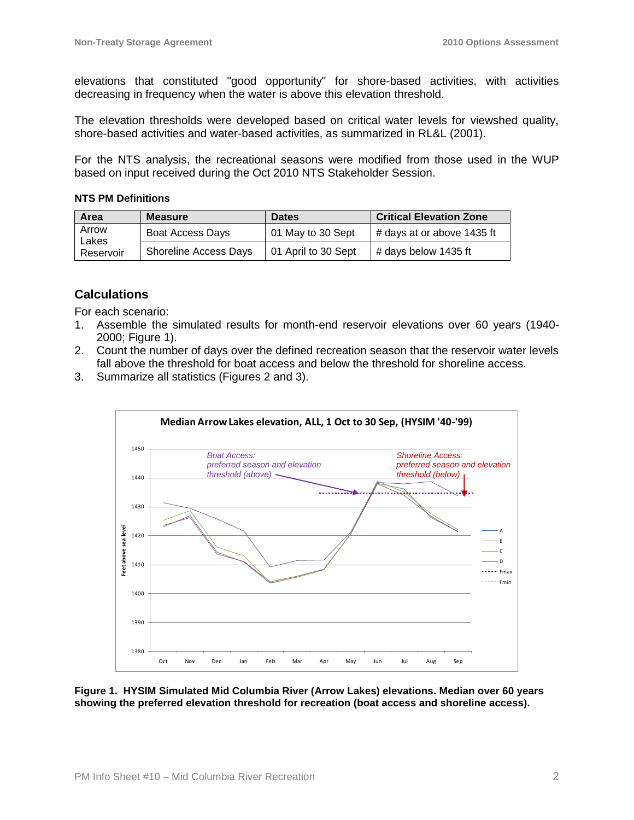elevations that constituted "good opportunity" for shore-based activities, with activities decreasing in frequency when the water is above this elevation threshold.

The elevation thresholds were developed based on critical water levels for viewshed quality, shore-based activities and water-based activities, as summarized in RL&L (2001).

For the NTS analysis, the recreational seasons were modified from those used in the WUP based on input received during the Oct 2010 NTS Stakeholder Session.

#### **NTS PM Definitions**

| Area           | <b>Measure</b>               | <b>Dates</b>        | <b>Critical Elevation Zone</b> |
|----------------|------------------------------|---------------------|--------------------------------|
| Arrow<br>Lakes | Boat Access Days             | 01 May to 30 Sept   | # days at or above 1435 ft     |
| Reservoir      | <b>Shoreline Access Days</b> | 01 April to 30 Sept | # days below 1435 ft           |

# **Calculations**

For each scenario:

- 1. Assemble the simulated results for month-end reservoir elevations over 60 years (1940- 2000; Figure 1).
- 2. Count the number of days over the defined recreation season that the reservoir water levels fall above the threshold for boat access and below the threshold for shoreline access.
- 3. Summarize all statistics (Figures 2 and 3).



**Figure 1. HYSIM Simulated Mid Columbia River (Arrow Lakes) elevations. Median over 60 years showing the preferred elevation threshold for recreation (boat access and shoreline access).**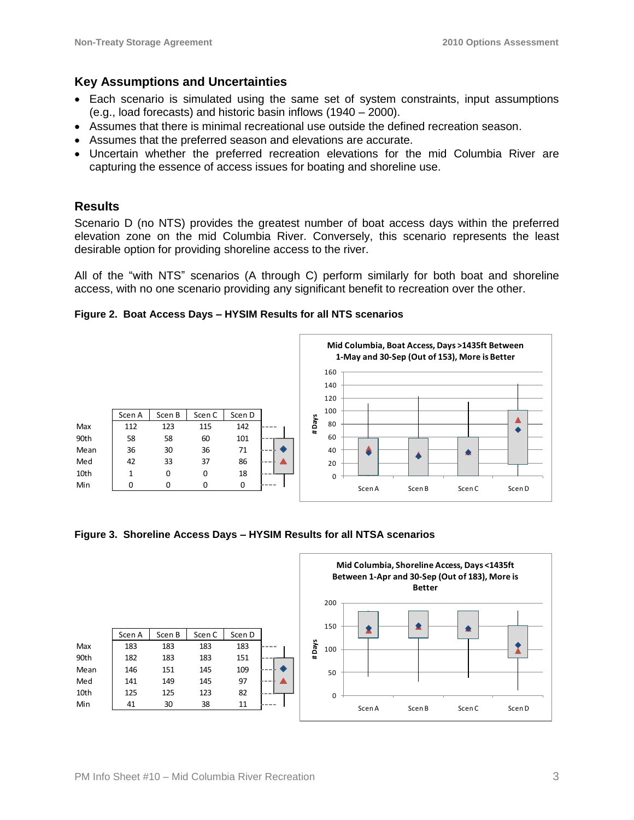# **Key Assumptions and Uncertainties**

- Each scenario is simulated using the same set of system constraints, input assumptions (e.g., load forecasts) and historic basin inflows (1940 – 2000).
- Assumes that there is minimal recreational use outside the defined recreation season.
- Assumes that the preferred season and elevations are accurate.
- Uncertain whether the preferred recreation elevations for the mid Columbia River are capturing the essence of access issues for boating and shoreline use.

### **Results**

Scenario D (no NTS) provides the greatest number of boat access days within the preferred elevation zone on the mid Columbia River. Conversely, this scenario represents the least desirable option for providing shoreline access to the river.

All of the "with NTS" scenarios (A through C) perform similarly for both boat and shoreline access, with no one scenario providing any significant benefit to recreation over the other.

#### **Figure 2. Boat Access Days – HYSIM Results for all NTS scenarios**



**Figure 3. Shoreline Access Days – HYSIM Results for all NTSA scenarios**